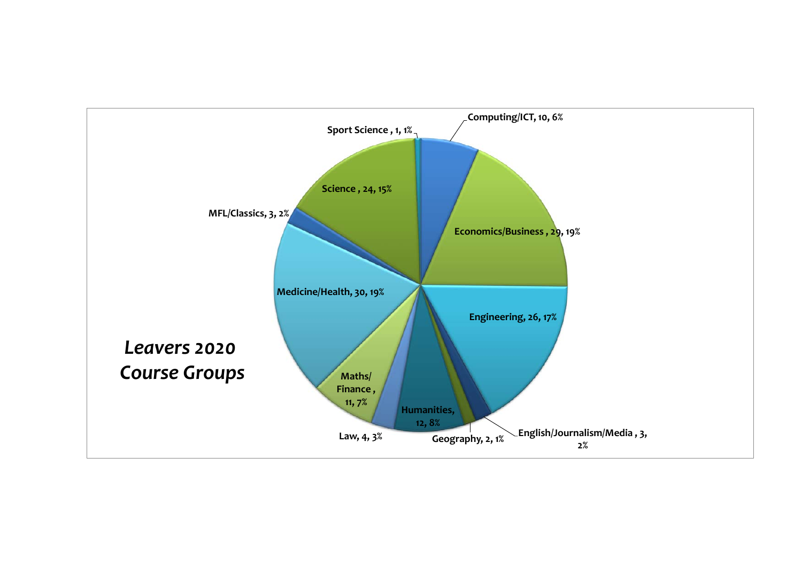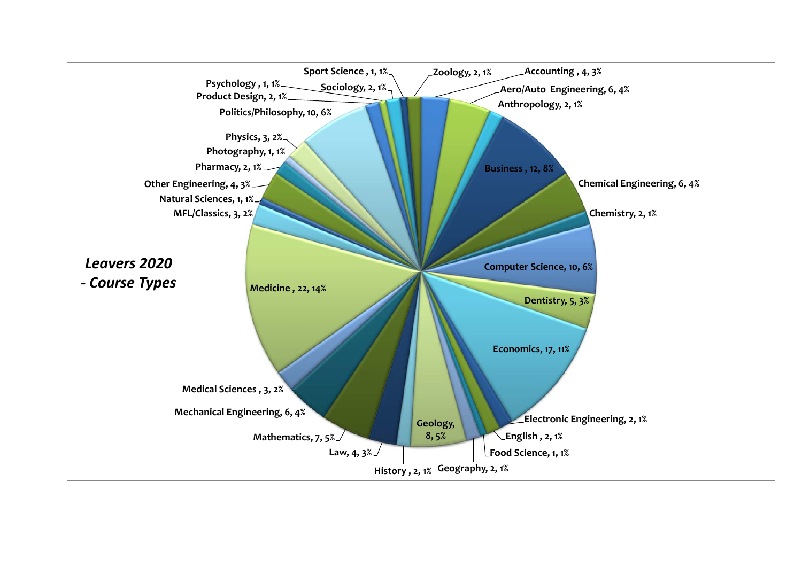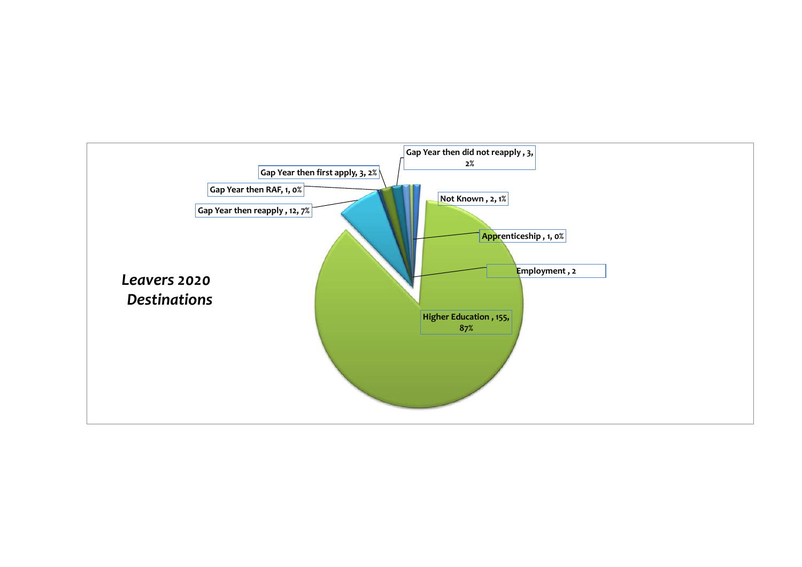